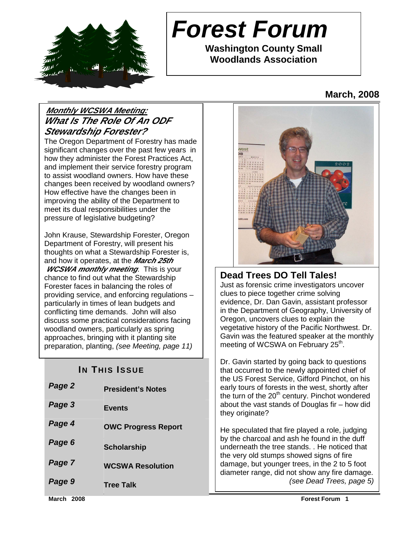

# **Forest Forum**

**Washington County Small Woodlands Association** 

# **March, 2008**

# **Monthly WCSWA Meeting: What Is The Role Of An ODF Stewardship Forester?**

The Oregon Department of Forestry has made significant changes over the past few years in how they administer the Forest Practices Act, and implement their service forestry program to assist woodland owners. How have these changes been received by woodland owners? How effective have the changes been in improving the ability of the Department to meet its dual responsibilities under the pressure of legislative budgeting?

John Krause, Stewardship Forester, Oregon Department of Forestry, will present his thoughts on what a Stewardship Forester is, and how it operates, at the **March 25th** 

*WCSWA monthly meeting*. This is your chance to find out what the Stewardship Forester faces in balancing the roles of providing service, and enforcing regulations – particularly in times of lean budgets and conflicting time demands. John will also discuss some practical considerations facing woodland owners, particularly as spring approaches, bringing with it planting site preparation, planting, (see Meeting, page 11)

# **IN THIS ISSUE**

| Page 2 | <b>President's Notes</b>   |
|--------|----------------------------|
| Page 3 | <b>Events</b>              |
| Page 4 | <b>OWC Progress Report</b> |
| Page 6 | <b>Scholarship</b>         |
| Page 7 | <b>WCSWA Resolution</b>    |
| Page 9 | <b>Tree Talk</b>           |



# **Dead Trees DO Tell Tales!**

Just as forensic crime investigators uncover clues to piece together crime solving evidence, Dr. Dan Gavin, assistant professor in the Department of Geography, University of Oregon, uncovers clues to explain the vegetative history of the Pacific Northwest. Dr. Gavin was the featured speaker at the monthly meeting of WCSWA on February 25<sup>th</sup>.

Dr. Gavin started by going back to questions that occurred to the newly appointed chief of the US Forest Service, Gifford Pinchot, on his early tours of forests in the west, shortly after the turn of the  $20<sup>th</sup>$  century. Pinchot wondered about the vast stands of Douglas fir – how did they originate?

He speculated that fire played a role, judging by the charcoal and ash he found in the duff underneath the tree stands. . He noticed that the very old stumps showed signs of fire damage, but younger trees, in the 2 to 5 foot diameter range, did not show any fire damage. (see Dead Trees, page 5)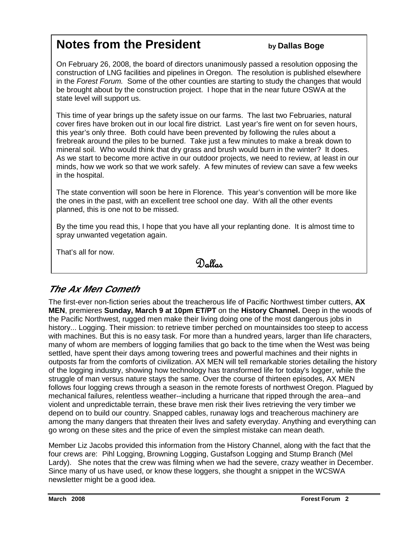# **Notes from the President** *by Dallas Boge*

On February 26, 2008, the board of directors unanimously passed a resolution opposing the construction of LNG facilities and pipelines in Oregon. The resolution is published elsewhere in the Forest Forum. Some of the other counties are starting to study the changes that would be brought about by the construction project. I hope that in the near future OSWA at the state level will support us.

This time of year brings up the safety issue on our farms. The last two Februaries, natural cover fires have broken out in our local fire district. Last year's fire went on for seven hours, this year's only three. Both could have been prevented by following the rules about a firebreak around the piles to be burned. Take just a few minutes to make a break down to mineral soil. Who would think that dry grass and brush would burn in the winter? It does. As we start to become more active in our outdoor projects, we need to review, at least in our minds, how we work so that we work safely. A few minutes of review can save a few weeks in the hospital.

The state convention will soon be here in Florence. This year's convention will be more like the ones in the past, with an excellent tree school one day. With all the other events planned, this is one not to be missed.

By the time you read this, I hope that you have all your replanting done. It is almost time to spray unwanted vegetation again.

That's all for now.

# Dallas

# **The Ax Men Cometh**

The first-ever non-fiction series about the treacherous life of Pacific Northwest timber cutters, **AX MEN**, premieres **Sunday, March 9 at 10pm ET/PT** on the **History Channel.** Deep in the woods of the Pacific Northwest, rugged men make their living doing one of the most dangerous jobs in history... Logging. Their mission: to retrieve timber perched on mountainsides too steep to access with machines. But this is no easy task. For more than a hundred years, larger than life characters, many of whom are members of logging families that go back to the time when the West was being settled, have spent their days among towering trees and powerful machines and their nights in outposts far from the comforts of civilization. AX MEN will tell remarkable stories detailing the history of the logging industry, showing how technology has transformed life for today's logger, while the struggle of man versus nature stays the same. Over the course of thirteen episodes, AX MEN follows four logging crews through a season in the remote forests of northwest Oregon. Plagued by mechanical failures, relentless weather--including a hurricane that ripped through the area--and violent and unpredictable terrain, these brave men risk their lives retrieving the very timber we depend on to build our country. Snapped cables, runaway logs and treacherous machinery are among the many dangers that threaten their lives and safety everyday. Anything and everything can go wrong on these sites and the price of even the simplest mistake can mean death.

Member Liz Jacobs provided this information from the History Channel, along with the fact that the four crews are: Pihl Logging, Browning Logging, Gustafson Logging and Stump Branch (Mel Lardy). She notes that the crew was filming when we had the severe, crazy weather in December. Since many of us have used, or know these loggers, she thought a snippet in the WCSWA newsletter might be a good idea.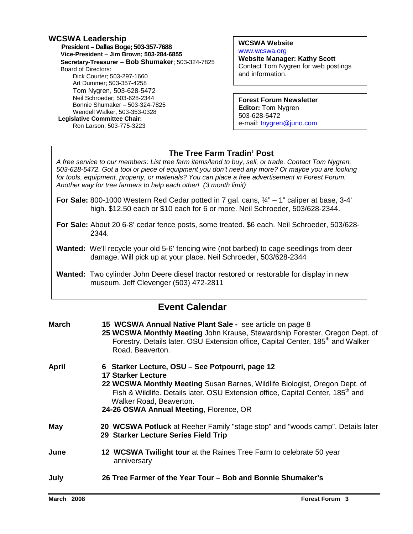#### **WCSWA Leadership**

 **President – Dallas Boge; 503-357-7688 Vice-President** – **Jim Brown; 503-284-6855 Secretary-Treasurer – Bob Shumaker**; 503-324-7825 Board of Directors: Dick Courter; 503-297-1660 Art Dummer; 503-357-4258 Tom Nygren, 503-628-5472 Neil Schroeder; 503-628-2344 Bonnie Shumaker – 503-324-7825 Wendell Walker, 503-353-0328  **Legislative Committee Chair:**  Ron Larson; 503-775-3223

**WCSWA Website** www.wcswa.org **Website Manager: Kathy Scott** Contact Tom Nygren for web postings and information.

**Forest Forum Newsletter Editor:** Tom Nygren 503-628-5472 e-mail: tnygren@juno.com

#### **The Tree Farm Tradin' Post**

 for tools, equipment, property, or materials? You can place a free advertisement in Forest Forum. A free service to our members: List tree farm items/land to buy, sell, or trade. Contact Tom Nygren, 503-628-5472. Got a tool or piece of equipment you don't need any more? Or maybe you are looking Another way for tree farmers to help each other! (3 month limit)

- **For Sale:** 800-1000 Western Red Cedar potted in 7 gal. cans, ¾" 1" caliper at base, 3-4' high. \$12.50 each or \$10 each for 6 or more. Neil Schroeder, 503/628-2344.
- **For Sale:** About 20 6-8' cedar fence posts, some treated. \$6 each. Neil Schroeder, 503/628- 2344.
- **Wanted:** We'll recycle your old 5-6' fencing wire (not barbed) to cage seedlings from deer damage. Will pick up at your place. Neil Schroeder, 503/628-2344
- **Wanted:** Two cylinder John Deere diesel tractor restored or restorable for display in new museum. Jeff Clevenger (503) 472-2811

### **Event Calendar**

| <b>March</b> | 15 WCSWA Annual Native Plant Sale - see article on page 8<br>25 WCSWA Monthly Meeting John Krause, Stewardship Forester, Oregon Dept. of<br>Forestry. Details later. OSU Extension office, Capital Center, 185 <sup>th</sup> and Walker<br>Road, Beaverton.                                                                     |
|--------------|---------------------------------------------------------------------------------------------------------------------------------------------------------------------------------------------------------------------------------------------------------------------------------------------------------------------------------|
| April        | 6 Starker Lecture, OSU - See Potpourri, page 12<br><b>17 Starker Lecture</b><br>22 WCSWA Monthly Meeting Susan Barnes, Wildlife Biologist, Oregon Dept. of<br>Fish & Wildlife. Details later. OSU Extension office, Capital Center, 185 <sup>th</sup> and<br>Walker Road, Beaverton.<br>24-26 OSWA Annual Meeting, Florence, OR |
| May          | 20 WCSWA Potluck at Reeher Family "stage stop" and "woods camp". Details later<br>29 Starker Lecture Series Field Trip                                                                                                                                                                                                          |
| June         | 12 WCSWA Twilight tour at the Raines Tree Farm to celebrate 50 year<br>anniversary                                                                                                                                                                                                                                              |
| July         | 26 Tree Farmer of the Year Tour – Bob and Bonnie Shumaker's                                                                                                                                                                                                                                                                     |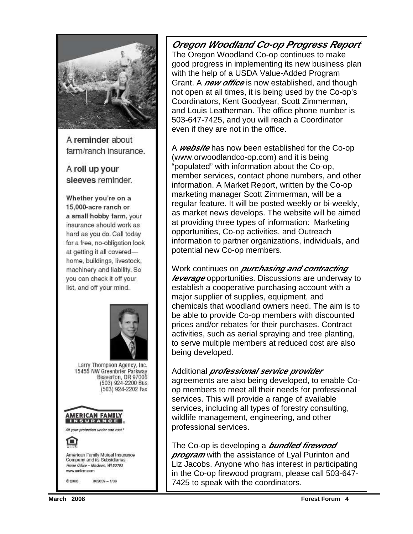

A reminder about farm/ranch insurance.

A roll up your sleeves reminder.

Whether you're on a 15,000-acre ranch or a small hobby farm, your insurance should work as hard as you do. Call today for a free, no-obligation look at getting it all coveredhome, buildings, livestock, machinery and liability. So you can check it off your list, and off your mind.



**Oregon Woodland Co-op Progress Report** The Oregon Woodland Co-op continues to make good progress in implementing its new business plan with the help of a USDA Value-Added Program Grant. A **new office** is now established, and though not open at all times, it is being used by the Co-op's Coordinators, Kent Goodyear, Scott Zimmerman, and Louis Leatherman. The office phone number is 503-647-7425, and you will reach a Coordinator even if they are not in the office.

A **website** has now been established for the Co-op (www.orwoodlandco-op.com) and it is being "populated" with information about the Co-op, member services, contact phone numbers, and other information. A Market Report, written by the Co-op marketing manager Scott Zimmerman, will be a regular feature. It will be posted weekly or bi-weekly, as market news develops. The website will be aimed at providing three types of information: Marketing opportunities, Co-op activities, and Outreach information to partner organizations, individuals, and potential new Co-op members.

Work continues on **purchasing and contracting leverage** opportunities. Discussions are underway to establish a cooperative purchasing account with a major supplier of supplies, equipment, and chemicals that woodland owners need. The aim is to be able to provide Co-op members with discounted prices and/or rebates for their purchases. Contract activities, such as aerial spraying and tree planting, to serve multiple members at reduced cost are also being developed.

#### Additional **professional service provider**

agreements are also being developed, to enable Coop members to meet all their needs for professional services. This will provide a range of available services, including all types of forestry consulting, wildlife management, engineering, and other professional services.

The Co-op is developing a **bundled firewood program** with the assistance of Lyal Purinton and Liz Jacobs. Anyone who has interest in participating in the Co-op firewood program, please call 503-647- 7425 to speak with the coordinators.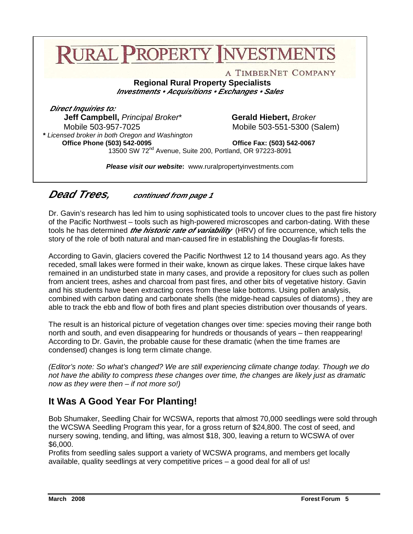# **RURAL PROPERTY INVESTMENT**

A TIMBERNET COMPANY

**Regional Rural Property Specialists Investments • Acquisitions • Exchanges • Sales** 

  **Direct Inquiries to: Jeff Campbell,** Principal Broker\* **Gerald Hiebert,** Broker Mobile 503-957-7025 Mobile 503-551-5300 (Salem)  **\*** Licensed broker in both Oregon and Washington **Office Phone (503) 542-0095 Office Fax: (503) 542-0067** 

13500 SW 72nd Avenue, Suite 200, Portland, OR 97223-8091

**Please visit our website:** www.ruralpropertyinvestments.com

**Dead Trees, continued from page 1** 

Dr. Gavin's research has led him to using sophisticated tools to uncover clues to the past fire history of the Pacific Northwest – tools such as high-powered microscopes and carbon-dating. With these tools he has determined **the historic rate of variability** (HRV) of fire occurrence, which tells the story of the role of both natural and man-caused fire in establishing the Douglas-fir forests.

According to Gavin, glaciers covered the Pacific Northwest 12 to 14 thousand years ago. As they receded, small lakes were formed in their wake, known as cirque lakes. These cirque lakes have remained in an undisturbed state in many cases, and provide a repository for clues such as pollen from ancient trees, ashes and charcoal from past fires, and other bits of vegetative history. Gavin and his students have been extracting cores from these lake bottoms. Using pollen analysis, combined with carbon dating and carbonate shells (the midge-head capsules of diatoms) , they are able to track the ebb and flow of both fires and plant species distribution over thousands of years.

The result is an historical picture of vegetation changes over time: species moving their range both north and south, and even disappearing for hundreds or thousands of years – then reappearing! According to Dr. Gavin, the probable cause for these dramatic (when the time frames are condensed) changes is long term climate change.

(Editor's note: So what's changed? We are still experiencing climate change today. Though we do not have the ability to compress these changes over time, the changes are likely just as dramatic now as they were then – if not more so!)

# **It Was A Good Year For Planting!**

Bob Shumaker, Seedling Chair for WCSWA, reports that almost 70,000 seedlings were sold through the WCSWA Seedling Program this year, for a gross return of \$24,800. The cost of seed, and nursery sowing, tending, and lifting, was almost \$18, 300, leaving a return to WCSWA of over \$6,000.

Profits from seedling sales support a variety of WCSWA programs, and members get locally available, quality seedlings at very competitive prices – a good deal for all of us!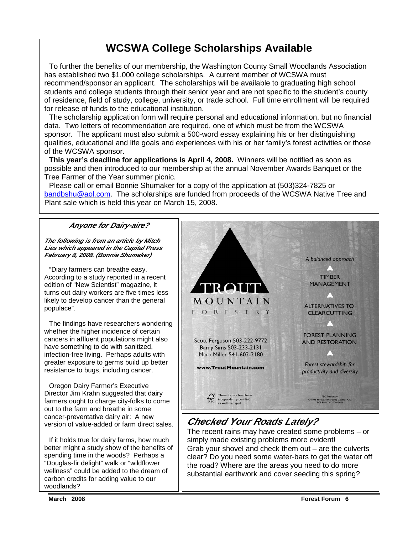# **WCSWA College Scholarships Available**

To further the benefits of our membership, the Washington County Small Woodlands Association has established two \$1,000 college scholarships. A current member of WCSWA must recommend/sponsor an applicant. The scholarships will be available to graduating high school students and college students through their senior year and are not specific to the student's county of residence, field of study, college, university, or trade school. Full time enrollment will be required for release of funds to the educational institution.

 The scholarship application form will require personal and educational information, but no financial data. Two letters of recommendation are required, one of which must be from the WCSWA sponsor. The applicant must also submit a 500-word essay explaining his or her distinguishing qualities, educational and life goals and experiences with his or her family's forest activities or those of the WCSWA sponsor.

**This year's deadline for applications is April 4, 2008.** Winners will be notified as soon as possible and then introduced to our membership at the annual November Awards Banquet or the Tree Farmer of the Year summer picnic.

 Please call or email Bonnie Shumaker for a copy of the application at (503)324-7825 or bandbshu@aol.com. The scholarships are funded from proceeds of the WCSWA Native Tree and Plant sale which is held this year on March 15, 2008.

#### **Anyone for Dairy-aire?**

**The following is from an article by Mitch Lies which appeared in the Capital Press February 8, 2008. (Bonnie Shumaker)** 

 $\overline{a}$ 

"Diary farmers can breathe easy. According to a study reported in a recent edition of "New Scientist" magazine, it turns out dairy workers are five times less likely to develop cancer than the general populace".

 The findings have researchers wondering whether the higher incidence of certain cancers in affluent populations might also have something to do with sanitized, infection-free living. Perhaps adults with greater exposure to germs build up better resistance to bugs, including cancer.

 out to the farm and breathe in some version of value-added or farm direct sales. Oregon Dairy Farmer's Executive Director Jim Krahn suggested that dairy farmers ought to charge city-folks to come cancer-preventative dairy air: A new

 If it holds true for dairy farms, how much better might a study show of the benefits of spending time in the woods? Perhaps a "Douglas-fir delight" walk or "wildflower wellness" could be added to the dream of carbon credits for adding value to our woodlands?



# **Checked Your Roads Lately?**

The recent rains may have created some problems – or simply made existing problems more evident! Grab your shovel and check them out – are the culverts clear? Do you need some water-bars to get the water off the road? Where are the areas you need to do more substantial earthwork and cover seeding this spring?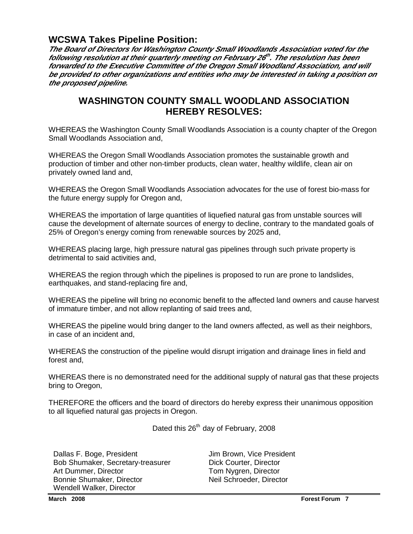#### **WCSWA Takes Pipeline Position:**

**The Board of Directors for Washington County Small Woodlands Association voted for the following resolution at their quarterly meeting on February 26 th . The resolution has been forwarded to the Executive Committee of the Oregon Small Woodland Association, and will be provided to other organizations and entities who may be interested in taking a position on the proposed pipeline.** 

### **WASHINGTON COUNTY SMALL WOODLAND ASSOCIATION HEREBY RESOLVES:**

WHEREAS the Washington County Small Woodlands Association is a county chapter of the Oregon Small Woodlands Association and,

WHEREAS the Oregon Small Woodlands Association promotes the sustainable growth and production of timber and other non-timber products, clean water, healthy wildlife, clean air on privately owned land and,

WHEREAS the Oregon Small Woodlands Association advocates for the use of forest bio-mass for the future energy supply for Oregon and,

WHEREAS the importation of large quantities of liquefied natural gas from unstable sources will cause the development of alternate sources of energy to decline, contrary to the mandated goals of 25% of Oregon's energy coming from renewable sources by 2025 and,

WHEREAS placing large, high pressure natural gas pipelines through such private property is detrimental to said activities and,

WHEREAS the region through which the pipelines is proposed to run are prone to landslides, earthquakes, and stand-replacing fire and,

WHEREAS the pipeline will bring no economic benefit to the affected land owners and cause harvest of immature timber, and not allow replanting of said trees and,

WHEREAS the pipeline would bring danger to the land owners affected, as well as their neighbors, in case of an incident and,

WHEREAS the construction of the pipeline would disrupt irrigation and drainage lines in field and forest and,

WHEREAS there is no demonstrated need for the additional supply of natural gas that these projects bring to Oregon,

THEREFORE the officers and the board of directors do hereby express their unanimous opposition to all liquefied natural gas projects in Oregon.

Dated this 26<sup>th</sup> day of February, 2008

Dallas F. Boge, President **Jim Brown, Vice President** Bob Shumaker, Secretary-treasurer Dick Courter, Director Art Dummer, Director Tom Nygren, Director Bonnie Shumaker, Director Neil Schroeder, Director Wendell Walker, Director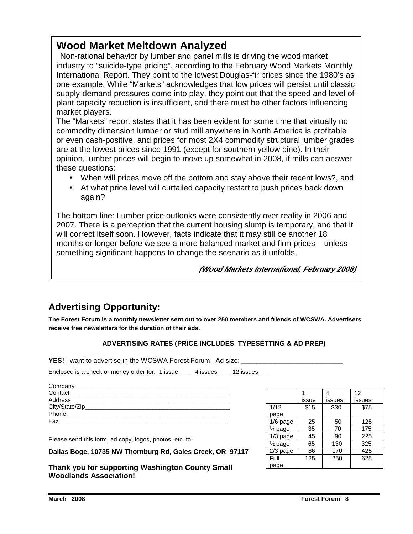# **Wood Market Meltdown Analyzed**

 Non-rational behavior by lumber and panel mills is driving the wood market industry to "suicide-type pricing", according to the February Wood Markets Monthly International Report. They point to the lowest Douglas-fir prices since the 1980's as one example. While "Markets" acknowledges that low prices will persist until classic supply-demand pressures come into play, they point out that the speed and level of plant capacity reduction is insufficient, and there must be other factors influencing market players.

The "Markets" report states that it has been evident for some time that virtually no commodity dimension lumber or stud mill anywhere in North America is profitable or even cash-positive, and prices for most 2X4 commodity structural lumber grades are at the lowest prices since 1991 (except for southern yellow pine). In their opinion, lumber prices will begin to move up somewhat in 2008, if mills can answer these questions:

- When will prices move off the bottom and stay above their recent lows?, and
- At what price level will curtailed capacity restart to push prices back down again?

The bottom line: Lumber price outlooks were consistently over reality in 2006 and 2007. There is a perception that the current housing slump is temporary, and that it will correct itself soon. However, facts indicate that it may still be another 18 months or longer before we see a more balanced market and firm prices – unless something significant happens to change the scenario as it unfolds.

**(Wood Markets International, February 2008)**

# **Advertising Opportunity:**

**The Forest Forum is a monthly newsletter sent out to over 250 members and friends of WCSWA. Advertisers receive free newsletters for the duration of their ads.** 

#### **ADVERTISING RATES (PRICE INCLUDES TYPESETTING & AD PREP)**

**YES!** I want to advertise in the WCSWA Forest Forum. Ad size:

Enclosed is a check or money order for: 1 issue \_\_\_\_ 4 issues \_\_\_ 12 issues \_\_\_

| Company________________            |  |
|------------------------------------|--|
| Contact                            |  |
| Address_________________           |  |
| City/State/Zip____________________ |  |
| Phone                              |  |
| Fax                                |  |

Please send this form, ad copy, logos, photos, etc. to:

**Dallas Boge, 10735 NW Thornburg Rd, Gales Creek, OR 97117** 

**Thank you for supporting Washington County Small Woodlands Association!** 

|                      |       |        | 12     |
|----------------------|-------|--------|--------|
|                      | issue | issues | issues |
| 1/12                 | \$15  | \$30   | \$75   |
| page                 |       |        |        |
| 1/6 page             | 25    | 50     | 125    |
| $\frac{1}{4}$ page   | 35    | 70     | 175    |
| $1/3$ page           | 45    | 90     | 225    |
| 1/ <sub>2</sub> page | 65    | 130    | 325    |
| 2/3 page             | 86    | 170    | 425    |
| Full                 | 125   | 250    | 625    |
| page                 |       |        |        |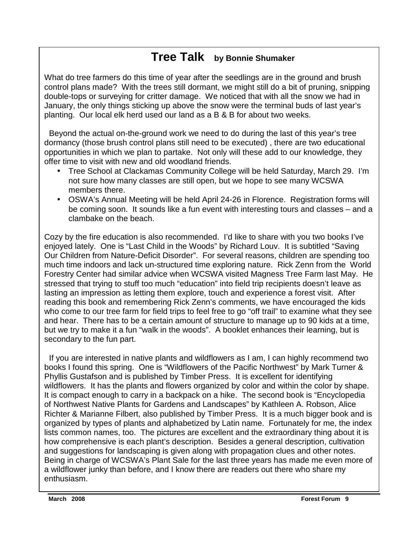# **Tree Talk by Bonnie Shumaker**

 What do tree farmers do this time of year after the seedlings are in the ground and brush control plans made? With the trees still dormant, we might still do a bit of pruning, snipping double-tops or surveying for critter damage. We noticed that with all the snow we had in January, the only things sticking up above the snow were the terminal buds of last year's planting. Our local elk herd used our land as a B & B for about two weeks.

 Beyond the actual on-the-ground work we need to do during the last of this year's tree dormancy (those brush control plans still need to be executed) , there are two educational opportunities in which we plan to partake. Not only will these add to our knowledge, they offer time to visit with new and old woodland friends.

- Tree School at Clackamas Community College will be held Saturday, March 29. I'm not sure how many classes are still open, but we hope to see many WCSWA members there.
- OSWA's Annual Meeting will be held April 24-26 in Florence. Registration forms will be coming soon. It sounds like a fun event with interesting tours and classes – and a clambake on the beach.

Cozy by the fire education is also recommended. I'd like to share with you two books I've enjoyed lately. One is "Last Child in the Woods" by Richard Louv. It is subtitled "Saving Our Children from Nature-Deficit Disorder". For several reasons, children are spending too much time indoors and lack un-structured time exploring nature. Rick Zenn from the World Forestry Center had similar advice when WCSWA visited Magness Tree Farm last May. He stressed that trying to stuff too much "education" into field trip recipients doesn't leave as lasting an impression as letting them explore, touch and experience a forest visit. After reading this book and remembering Rick Zenn's comments, we have encouraged the kids who come to our tree farm for field trips to feel free to go "off trail" to examine what they see and hear. There has to be a certain amount of structure to manage up to 90 kids at a time, but we try to make it a fun "walk in the woods". A booklet enhances their learning, but is secondary to the fun part.

 organized by types of plants and alphabetized by Latin name. Fortunately for me, the index If you are interested in native plants and wildflowers as I am, I can highly recommend two books I found this spring. One is "Wildflowers of the Pacific Northwest" by Mark Turner & Phyllis Gustafson and is published by Timber Press. It is excellent for identifying wildflowers. It has the plants and flowers organized by color and within the color by shape. It is compact enough to carry in a backpack on a hike. The second book is "Encyclopedia of Northwest Native Plants for Gardens and Landscapes" by Kathleen A. Robson, Alice Richter & Marianne Filbert, also published by Timber Press. It is a much bigger book and is lists common names, too. The pictures are excellent and the extraordinary thing about it is how comprehensive is each plant's description. Besides a general description, cultivation and suggestions for landscaping is given along with propagation clues and other notes. Being in charge of WCSWA's Plant Sale for the last three years has made me even more of a wildflower junky than before, and I know there are readers out there who share my enthusiasm.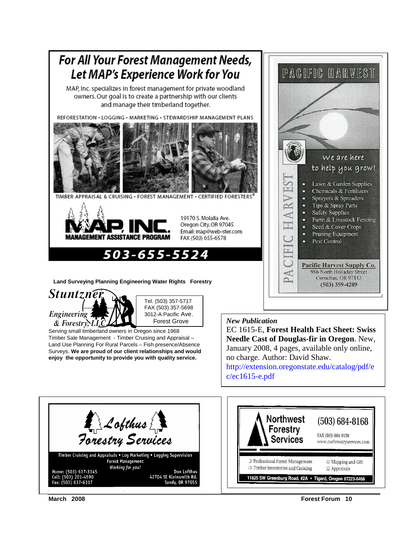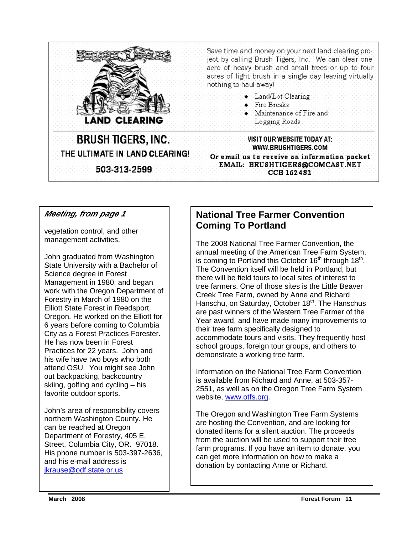

Save time and money on your next land clearing project by calling Brush Tigers, Inc. We can clear one acre of heavy brush and small trees or up to four. acres of light brush in a single day leaving virtually. nothing to haul away!

- Land/Lot Clearing
- $\bullet$  Fire Breaks
- $\bullet$  Maintenance of Fire and Logging Roads

# **BRUSH TIGERS, INC.** THE ULTIMATE IN LAND CLEARING! 503-313-2599

VISIT OUR WEBSITE TODAY AT: WWW.BRUSHTIGERS.COM Or email us to receive an information packet EMAIL: BRUSHTIGERS@COMCAST.NET CCB 162482

**Meeting, from page 1** 

vegetation control, and other management activities.

John graduated from Washington State University with a Bachelor of Science degree in Forest Management in 1980, and began work with the Oregon Department of Forestry in March of 1980 on the Elliott State Forest in Reedsport, Oregon. He worked on the Elliott for 6 years before coming to Columbia City as a Forest Practices Forester. He has now been in Forest Practices for 22 years. John and his wife have two boys who both attend OSU. You might see John out backpacking, backcountry skiing, golfing and cycling – his favorite outdoor sports.

John's area of responsibility covers northern Washington County. He can be reached at Oregon Department of Forestry, 405 E. Street, Columbia City, OR. 97018. His phone number is 503-397-2636, and his e-mail address is jkrause@odf.state.or.us

# **National Tree Farmer Convention Coming To Portland**

The 2008 National Tree Farmer Convention, the annual meeting of the American Tree Farm System, is coming to Portland this October  $16<sup>th</sup>$  through  $18<sup>th</sup>$ . The Convention itself will be held in Portland, but there will be field tours to local sites of interest to tree farmers. One of those sites is the Little Beaver Creek Tree Farm, owned by Anne and Richard Hanschu, on Saturday, October 18<sup>th</sup>. The Hanschus are past winners of the Western Tree Farmer of the Year award, and have made many improvements to their tree farm specifically designed to accommodate tours and visits. They frequently host school groups, foreign tour groups, and others to demonstrate a working tree farm.

Information on the National Tree Farm Convention is available from Richard and Anne, at 503-357- 2551, as well as on the Oregon Tree Farm System website, www.otfs.org.

The Oregon and Washington Tree Farm Systems are hosting the Convention, and are looking for donated items for a silent auction. The proceeds from the auction will be used to support their tree farm programs. If you have an item to donate, you can get more information on how to make a donation by contacting Anne or Richard.